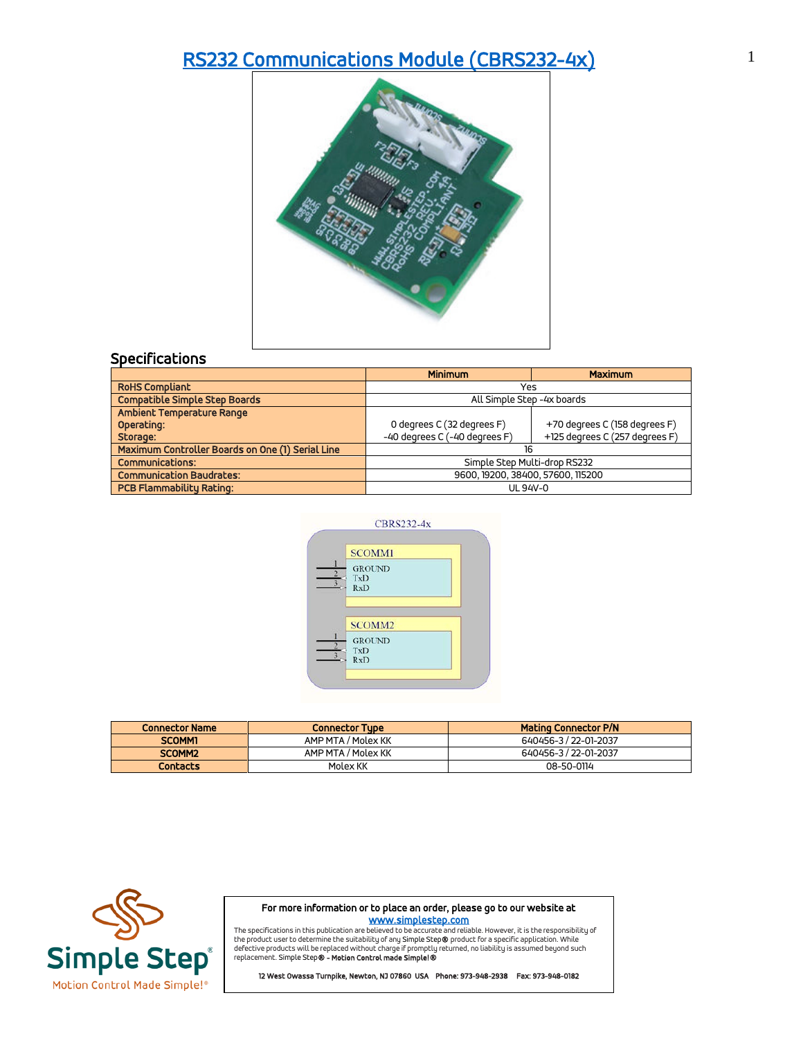## [RS232 Communications Module \(CBRS232-4x\)](https://simplestep.com/product/cbrs232/) 1



|                                                  | <b>Minimum</b>                    | <b>Maximum</b>                 |
|--------------------------------------------------|-----------------------------------|--------------------------------|
| <b>RoHS Compliant</b>                            | Yes                               |                                |
| <b>Compatible Simple Step Boards</b>             | All Simple Step -4x boards        |                                |
| Ambient Temperature Range                        |                                   |                                |
| Operating:                                       | 0 degrees C (32 degrees F)        | +70 degrees C (158 degrees F)  |
| Storage:                                         | -40 degrees C (-40 degrees F)     | +125 degrees C (257 degrees F) |
| Maximum Controller Boards on One (1) Serial Line | 16                                |                                |
| <b>Communications:</b>                           | Simple Step Multi-drop RS232      |                                |
| <b>Communication Baudrates:</b>                  | 9600, 19200, 38400, 57600, 115200 |                                |
| <b>PCB Flammability Rating:</b>                  | UL 94V-0                          |                                |



| <b>Connector Name</b> | <b>Connector Tupe</b> | <b>Mating Connector P/N</b> |
|-----------------------|-----------------------|-----------------------------|
| <b>SCOMM1</b>         | AMP MTA / Molex KK    | 640456-3 / 22-01-2037       |
| SCOMM <sub>2</sub>    | AMP MTA / Molex KK    | 640456-3 / 22-01-2037       |
| <b>Contacts</b>       | Molex KK              | 08-50-0114                  |



For more information or to place an order, please go to our website at

**WWW.Simplestep.com**<br>The specifications in this publication are believed to be accurate and reliable. However, it is the responsibility of<br>defective product swill be replaced without charge if promptly returned, no liabili

12 West Owassa Turnpike, Newton, NJ 07860 USA Phone: 973-948-2938 Fax: 973-948-0182